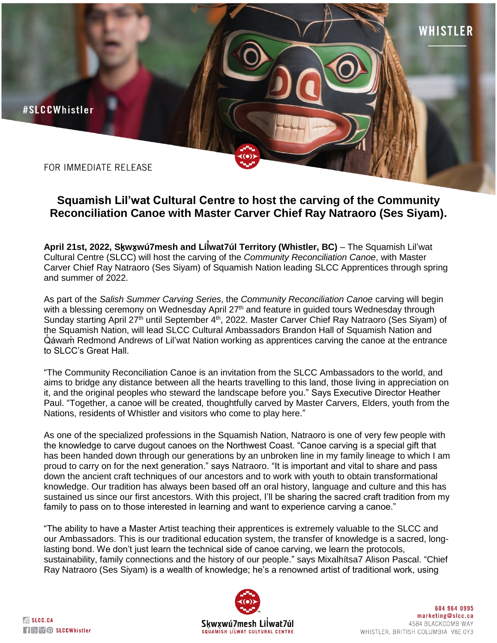

FOR IMMEDIATE RELEASE

## **Squamish Lil'wat Cultural Centre to host the carving of the Community Reconciliation Canoe with Master Carver Chief Ray Natraoro (Ses Siyam).**

**April 21st, 2022, Sḵwx̱wú7mesh and Líl ̓wat7úl Territory (Whistler, BC)** – The Squamish Lil'wat Cultural Centre (SLCC) will host the carving of the *Community Reconciliation Canoe*, with Master Carver Chief Ray Natraoro (Ses Siyam) of Squamish Nation leading SLCC Apprentices through spring and summer of 2022.

As part of the *Salish Summer Carving Series*, the *Community Reconciliation Canoe* carving will begin with a blessing ceremony on Wednesday April 27<sup>th</sup> and feature in guided tours Wednesday through Sunday starting April 27<sup>th</sup> until September 4<sup>th</sup>, 2022. Master Carver Chief Ray Natraoro (Ses Siyam) of the Squamish Nation, will lead SLCC Cultural Ambassadors Brandon Hall of Squamish Nation and Q̓ áwam̓ Redmond Andrews of Lil'wat Nation working as apprentices carving the canoe at the entrance to SLCC's Great Hall.

"The Community Reconciliation Canoe is an invitation from the SLCC Ambassadors to the world, and aims to bridge any distance between all the hearts travelling to this land, those living in appreciation on it, and the original peoples who steward the landscape before you." Says Executive Director Heather Paul. "Together, a canoe will be created*,* thoughtfully carved by Master Carvers, Elders, youth from the Nations, residents of Whistler and visitors who come to play here."

As one of the specialized professions in the Squamish Nation, Natraoro is one of very few people with the knowledge to carve dugout canoes on the Northwest Coast. "Canoe carving is a special gift that has been handed down through our generations by an unbroken line in my family lineage to which I am proud to carry on for the next generation." says Natraoro. "It is important and vital to share and pass down the ancient craft techniques of our ancestors and to work with youth to obtain transformational knowledge. Our tradition has always been based off an oral history, language and culture and this has sustained us since our first ancestors. With this project, I'll be sharing the sacred craft tradition from my family to pass on to those interested in learning and want to experience carving a canoe."

"The ability to have a Master Artist teaching their apprentices is extremely valuable to the SLCC and our Ambassadors. This is our traditional education system, the transfer of knowledge is a sacred, longlasting bond. We don't just learn the technical side of canoe carving, we learn the protocols, sustainability, family connections and the history of our people." says Mixalhitsa7 Alison Pascal. "Chief Ray Natraoro (Ses Siyam) is a wealth of knowledge; he's a renowned artist of traditional work, using



WHISTLER